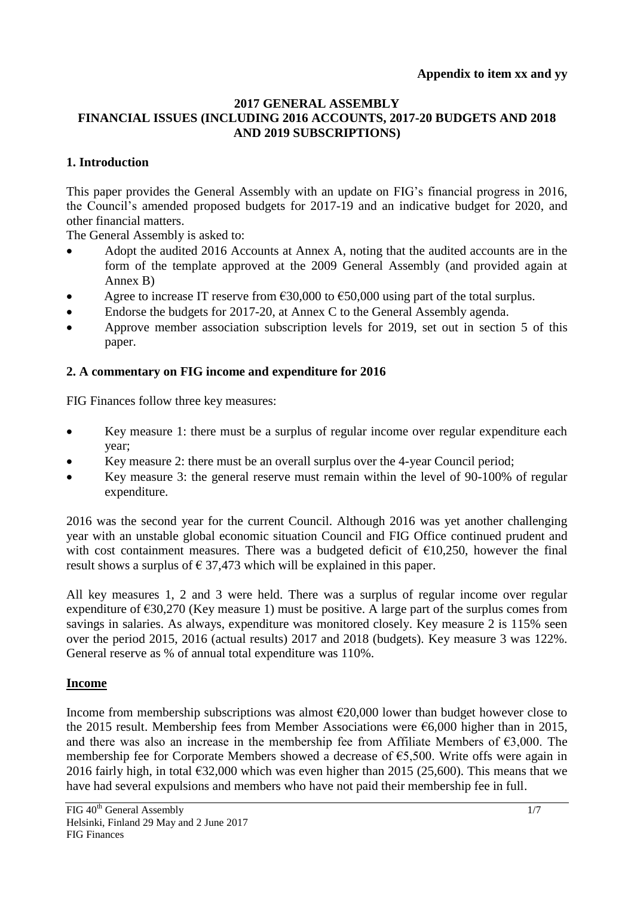#### **2017 GENERAL ASSEMBLY FINANCIAL ISSUES (INCLUDING 2016 ACCOUNTS, 2017-20 BUDGETS AND 2018 AND 2019 SUBSCRIPTIONS)**

# **1. Introduction**

This paper provides the General Assembly with an update on FIG's financial progress in 2016, the Council's amended proposed budgets for 2017-19 and an indicative budget for 2020, and other financial matters.

The General Assembly is asked to:

- Adopt the audited 2016 Accounts at Annex A, noting that the audited accounts are in the form of the template approved at the 2009 General Assembly (and provided again at Annex B)
- Agree to increase IT reserve from €30,000 to €50,000 using part of the total surplus.
- Endorse the budgets for 2017-20, at Annex C to the General Assembly agenda.
- Approve member association subscription levels for 2019, set out in section 5 of this paper.

# **2. A commentary on FIG income and expenditure for 2016**

FIG Finances follow three key measures:

- Key measure 1: there must be a surplus of regular income over regular expenditure each year;
- Key measure 2: there must be an overall surplus over the 4-year Council period;
- Key measure 3: the general reserve must remain within the level of 90-100% of regular expenditure.

2016 was the second year for the current Council. Although 2016 was yet another challenging year with an unstable global economic situation Council and FIG Office continued prudent and with cost containment measures. There was a budgeted deficit of  $\epsilon$ 10,250, however the final result shows a surplus of  $\epsilon$  37,473 which will be explained in this paper.

All key measures 1, 2 and 3 were held. There was a surplus of regular income over regular expenditure of  $\epsilon$ 30,270 (Key measure 1) must be positive. A large part of the surplus comes from savings in salaries. As always, expenditure was monitored closely. Key measure 2 is 115% seen over the period 2015, 2016 (actual results) 2017 and 2018 (budgets). Key measure 3 was 122%. General reserve as % of annual total expenditure was 110%.

# **Income**

Income from membership subscriptions was almost  $\epsilon$ 20,000 lower than budget however close to the 2015 result. Membership fees from Member Associations were  $\epsilon$ 6,000 higher than in 2015, and there was also an increase in the membership fee from Affiliate Members of  $\epsilon$ 3,000. The membership fee for Corporate Members showed a decrease of €5,500. Write offs were again in 2016 fairly high, in total  $\epsilon$ 32,000 which was even higher than 2015 (25,600). This means that we have had several expulsions and members who have not paid their membership fee in full.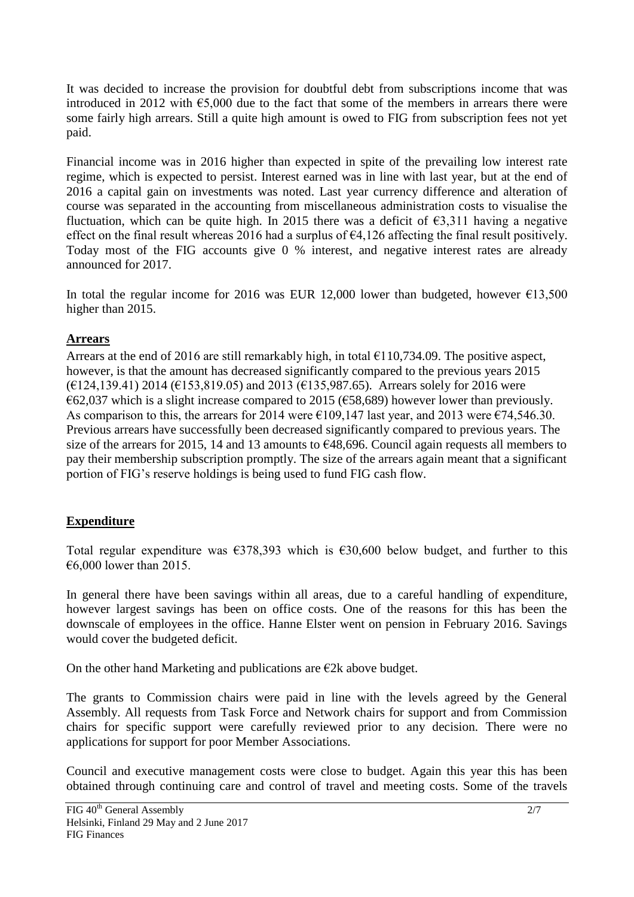It was decided to increase the provision for doubtful debt from subscriptions income that was introduced in 2012 with  $\epsilon$ 5,000 due to the fact that some of the members in arrears there were some fairly high arrears. Still a quite high amount is owed to FIG from subscription fees not yet paid.

Financial income was in 2016 higher than expected in spite of the prevailing low interest rate regime, which is expected to persist. Interest earned was in line with last year, but at the end of 2016 a capital gain on investments was noted. Last year currency difference and alteration of course was separated in the accounting from miscellaneous administration costs to visualise the fluctuation, which can be quite high. In 2015 there was a deficit of  $\epsilon$ 3,311 having a negative effect on the final result whereas 2016 had a surplus of  $\epsilon$ 4,126 affecting the final result positively. Today most of the FIG accounts give 0 % interest, and negative interest rates are already announced for 2017.

In total the regular income for 2016 was EUR 12,000 lower than budgeted, however  $\epsilon$ 13,500 higher than 2015.

#### **Arrears**

Arrears at the end of 2016 are still remarkably high, in total  $\epsilon$ 110,734.09. The positive aspect, however, is that the amount has decreased significantly compared to the previous years 2015 (€124,139.41) 2014 (€153,819.05) and 2013 (€135,987.65). Arrears solely for 2016 were €62,037 which is a slight increase compared to 2015 (€58,689) however lower than previously. As comparison to this, the arrears for 2014 were  $\epsilon$ 109,147 last year, and 2013 were  $\epsilon$ 74,546.30. Previous arrears have successfully been decreased significantly compared to previous years. The size of the arrears for 2015, 14 and 13 amounts to  $\epsilon$ 48,696. Council again requests all members to pay their membership subscription promptly. The size of the arrears again meant that a significant portion of FIG's reserve holdings is being used to fund FIG cash flow.

#### **Expenditure**

Total regular expenditure was  $\epsilon$ 378,393 which is  $\epsilon$ 30,600 below budget, and further to this €6,000 lower than 2015.

In general there have been savings within all areas, due to a careful handling of expenditure, however largest savings has been on office costs. One of the reasons for this has been the downscale of employees in the office. Hanne Elster went on pension in February 2016. Savings would cover the budgeted deficit.

On the other hand Marketing and publications are  $E2k$  above budget.

The grants to Commission chairs were paid in line with the levels agreed by the General Assembly. All requests from Task Force and Network chairs for support and from Commission chairs for specific support were carefully reviewed prior to any decision. There were no applications for support for poor Member Associations.

Council and executive management costs were close to budget. Again this year this has been obtained through continuing care and control of travel and meeting costs. Some of the travels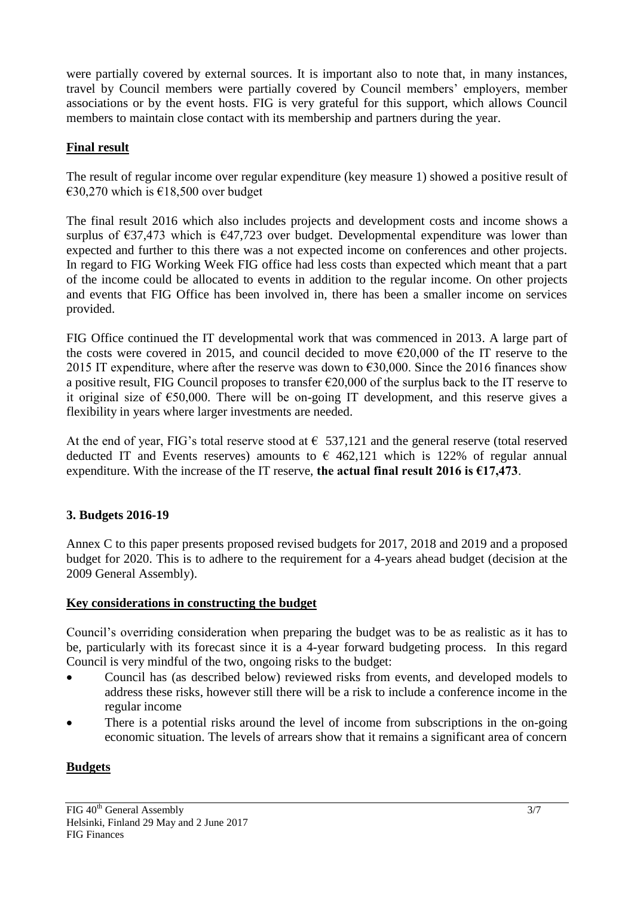were partially covered by external sources. It is important also to note that, in many instances, travel by Council members were partially covered by Council members' employers, member associations or by the event hosts. FIG is very grateful for this support, which allows Council members to maintain close contact with its membership and partners during the year.

### **Final result**

The result of regular income over regular expenditure (key measure 1) showed a positive result of  $€30,270$  which is €18,500 over budget

The final result 2016 which also includes projects and development costs and income shows a surplus of  $\epsilon$ 37,473 which is  $\epsilon$ 47,723 over budget. Developmental expenditure was lower than expected and further to this there was a not expected income on conferences and other projects. In regard to FIG Working Week FIG office had less costs than expected which meant that a part of the income could be allocated to events in addition to the regular income. On other projects and events that FIG Office has been involved in, there has been a smaller income on services provided.

FIG Office continued the IT developmental work that was commenced in 2013. A large part of the costs were covered in 2015, and council decided to move  $\epsilon$ 20,000 of the IT reserve to the 2015 IT expenditure, where after the reserve was down to  $\epsilon$ 30,000. Since the 2016 finances show a positive result, FIG Council proposes to transfer  $\epsilon$ 20,000 of the surplus back to the IT reserve to it original size of €50,000. There will be on-going IT development, and this reserve gives a flexibility in years where larger investments are needed.

At the end of year, FIG's total reserve stood at  $\epsilon$  537,121 and the general reserve (total reserved deducted IT and Events reserves) amounts to  $\epsilon$  462,121 which is 122% of regular annual expenditure. With the increase of the IT reserve, **the actual final result 2016 is €17,473**.

### **3. Budgets 2016-19**

Annex C to this paper presents proposed revised budgets for 2017, 2018 and 2019 and a proposed budget for 2020. This is to adhere to the requirement for a 4-years ahead budget (decision at the 2009 General Assembly).

### **Key considerations in constructing the budget**

Council's overriding consideration when preparing the budget was to be as realistic as it has to be, particularly with its forecast since it is a 4-year forward budgeting process. In this regard Council is very mindful of the two, ongoing risks to the budget:

- Council has (as described below) reviewed risks from events, and developed models to address these risks, however still there will be a risk to include a conference income in the regular income
- There is a potential risks around the level of income from subscriptions in the on-going economic situation. The levels of arrears show that it remains a significant area of concern

### **Budgets**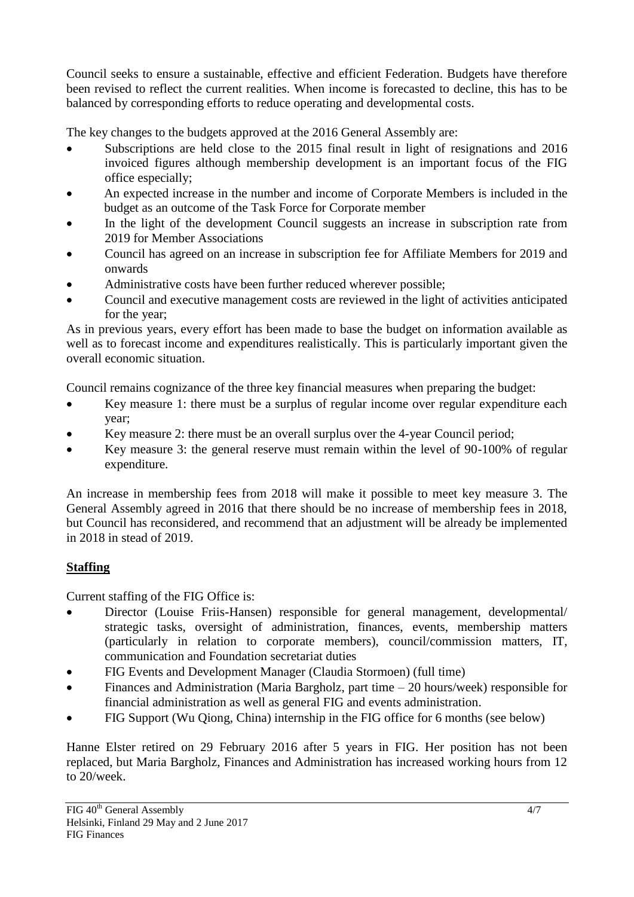Council seeks to ensure a sustainable, effective and efficient Federation. Budgets have therefore been revised to reflect the current realities. When income is forecasted to decline, this has to be balanced by corresponding efforts to reduce operating and developmental costs.

The key changes to the budgets approved at the 2016 General Assembly are:

- Subscriptions are held close to the 2015 final result in light of resignations and 2016 invoiced figures although membership development is an important focus of the FIG office especially;
- An expected increase in the number and income of Corporate Members is included in the budget as an outcome of the Task Force for Corporate member
- In the light of the development Council suggests an increase in subscription rate from 2019 for Member Associations
- Council has agreed on an increase in subscription fee for Affiliate Members for 2019 and onwards
- Administrative costs have been further reduced wherever possible;
- Council and executive management costs are reviewed in the light of activities anticipated for the year;

As in previous years, every effort has been made to base the budget on information available as well as to forecast income and expenditures realistically. This is particularly important given the overall economic situation.

Council remains cognizance of the three key financial measures when preparing the budget:

- Key measure 1: there must be a surplus of regular income over regular expenditure each year;
- Key measure 2: there must be an overall surplus over the 4-year Council period;
- Key measure 3: the general reserve must remain within the level of 90-100% of regular expenditure.

An increase in membership fees from 2018 will make it possible to meet key measure 3. The General Assembly agreed in 2016 that there should be no increase of membership fees in 2018, but Council has reconsidered, and recommend that an adjustment will be already be implemented in 2018 in stead of 2019.

# **Staffing**

Current staffing of the FIG Office is:

- Director (Louise Friis-Hansen) responsible for general management, developmental/ strategic tasks, oversight of administration, finances, events, membership matters (particularly in relation to corporate members), council/commission matters, IT, communication and Foundation secretariat duties
- FIG Events and Development Manager (Claudia Stormoen) (full time)
- Finances and Administration (Maria Bargholz, part time 20 hours/week) responsible for financial administration as well as general FIG and events administration.
- FIG Support (Wu Qiong, China) internship in the FIG office for 6 months (see below)

Hanne Elster retired on 29 February 2016 after 5 years in FIG. Her position has not been replaced, but Maria Bargholz, Finances and Administration has increased working hours from 12 to 20/week.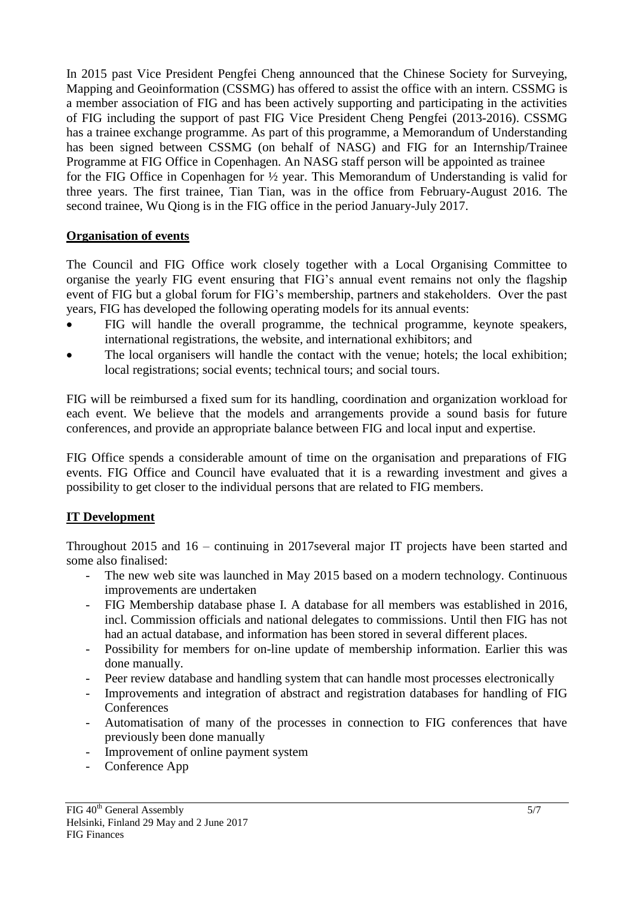In 2015 past Vice President Pengfei Cheng announced that the Chinese Society for Surveying, Mapping and Geoinformation (CSSMG) has offered to assist the office with an intern. CSSMG is a member association of FIG and has been actively supporting and participating in the activities of FIG including the support of past FIG Vice President Cheng Pengfei (2013-2016). CSSMG has a trainee exchange programme. As part of this programme, a Memorandum of Understanding has been signed between CSSMG (on behalf of NASG) and FIG for an Internship/Trainee Programme at FIG Office in Copenhagen. An NASG staff person will be appointed as trainee for the FIG Office in Copenhagen for ½ year. This Memorandum of Understanding is valid for three years. The first trainee, Tian Tian, was in the office from February-August 2016. The second trainee, Wu Qiong is in the FIG office in the period January-July 2017.

#### **Organisation of events**

The Council and FIG Office work closely together with a Local Organising Committee to organise the yearly FIG event ensuring that FIG's annual event remains not only the flagship event of FIG but a global forum for FIG's membership, partners and stakeholders. Over the past years, FIG has developed the following operating models for its annual events:

- FIG will handle the overall programme, the technical programme, keynote speakers, international registrations, the website, and international exhibitors; and
- The local organisers will handle the contact with the venue; hotels; the local exhibition; local registrations; social events; technical tours; and social tours.

FIG will be reimbursed a fixed sum for its handling, coordination and organization workload for each event. We believe that the models and arrangements provide a sound basis for future conferences, and provide an appropriate balance between FIG and local input and expertise.

FIG Office spends a considerable amount of time on the organisation and preparations of FIG events. FIG Office and Council have evaluated that it is a rewarding investment and gives a possibility to get closer to the individual persons that are related to FIG members.

### **IT Development**

Throughout 2015 and 16 – continuing in 2017several major IT projects have been started and some also finalised:

- The new web site was launched in May 2015 based on a modern technology. Continuous improvements are undertaken
- FIG Membership database phase I. A database for all members was established in 2016, incl. Commission officials and national delegates to commissions. Until then FIG has not had an actual database, and information has been stored in several different places.
- Possibility for members for on-line update of membership information. Earlier this was done manually.
- Peer review database and handling system that can handle most processes electronically
- Improvements and integration of abstract and registration databases for handling of FIG **Conferences**
- Automatisation of many of the processes in connection to FIG conferences that have previously been done manually
- Improvement of online payment system
- Conference App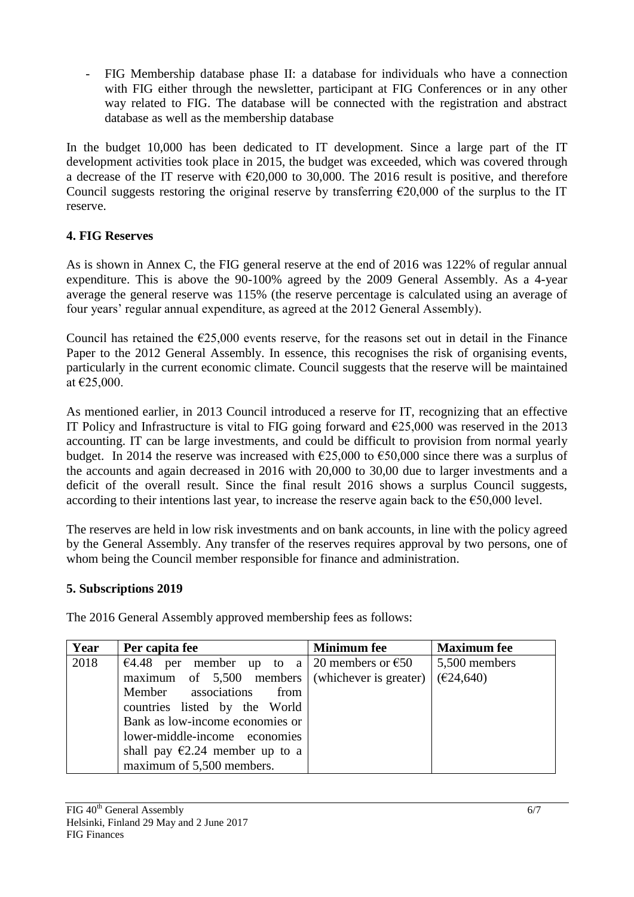- FIG Membership database phase II: a database for individuals who have a connection with FIG either through the newsletter, participant at FIG Conferences or in any other way related to FIG. The database will be connected with the registration and abstract database as well as the membership database

In the budget 10,000 has been dedicated to IT development. Since a large part of the IT development activities took place in 2015, the budget was exceeded, which was covered through a decrease of the IT reserve with  $\epsilon$ 20,000 to 30,000. The 2016 result is positive, and therefore Council suggests restoring the original reserve by transferring  $\epsilon$ 20,000 of the surplus to the IT reserve.

# **4. FIG Reserves**

As is shown in Annex C, the FIG general reserve at the end of 2016 was 122% of regular annual expenditure. This is above the 90-100% agreed by the 2009 General Assembly. As a 4-year average the general reserve was 115% (the reserve percentage is calculated using an average of four years' regular annual expenditure, as agreed at the 2012 General Assembly).

Council has retained the  $E$ 25,000 events reserve, for the reasons set out in detail in the Finance Paper to the 2012 General Assembly. In essence, this recognises the risk of organising events, particularly in the current economic climate. Council suggests that the reserve will be maintained at €25,000.

As mentioned earlier, in 2013 Council introduced a reserve for IT, recognizing that an effective IT Policy and Infrastructure is vital to FIG going forward and  $\epsilon$ 25,000 was reserved in the 2013 accounting. IT can be large investments, and could be difficult to provision from normal yearly budget. In 2014 the reserve was increased with  $\epsilon$ 25,000 to  $\epsilon$ 50,000 since there was a surplus of the accounts and again decreased in 2016 with 20,000 to 30,00 due to larger investments and a deficit of the overall result. Since the final result 2016 shows a surplus Council suggests, according to their intentions last year, to increase the reserve again back to the  $\epsilon$ 50,000 level.

The reserves are held in low risk investments and on bank accounts, in line with the policy agreed by the General Assembly. Any transfer of the reserves requires approval by two persons, one of whom being the Council member responsible for finance and administration.

### **5. Subscriptions 2019**

The 2016 General Assembly approved membership fees as follows:

| Year | Per capita fee                                    | <b>Minimum</b> fee | <b>Maximum</b> fee |
|------|---------------------------------------------------|--------------------|--------------------|
| 2018 | €4.48 per member up to a 20 members or $€50$      |                    | 5,500 members      |
|      | maximum of $5,500$ members (whichever is greater) |                    | (E24, 640)         |
|      | Member associations<br>from                       |                    |                    |
|      | countries listed by the World                     |                    |                    |
|      | Bank as low-income economies or                   |                    |                    |
|      | lower-middle-income economies                     |                    |                    |
|      | shall pay $\epsilon$ 2.24 member up to a          |                    |                    |
|      | maximum of 5,500 members.                         |                    |                    |